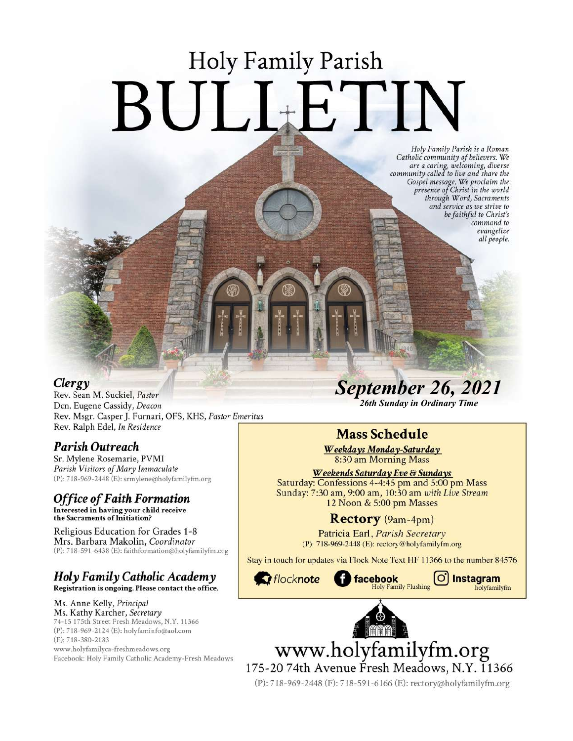# **Holy Family Parish** BULLETIN

Holy Family Parish is a Roman<br>Catholic community of believers. We and a caring, welcoming, diverse<br>community called to live and share the<br>Gospel message. We proclaim the<br>presence of Christ in the world through Word, Sacraments and service as we strive to be faithful to Christ's command to evangelize all people.

#### Clergy

Rev. Sean M. Suckiel, Pastor Dcn. Eugene Cassidy, Deacon Rev. Msgr. Casper J. Furnari, OFS, KHS, Pastor Emeritus Rev. Ralph Edel, In Residence

#### Parish Outreach

Sr. Mylene Rosemarie, PVMI Parish Visitors of Mary Immaculate (P): 718-969-2448 (E): srmylene@holyfamilyfm.org

## **Office of Faith Formation**

Interested in having your child receive<br>the Sacraments of Initiation?

Religious Education for Grades 1-8 Mrs. Barbara Makolin, Coordinator (P): 718-591-6438 (E): faithformation@holyfamilyfm.org

#### Holy Family Catholic Academy Registration is ongoing. Please contact the office.

Ms. Anne Kelly, Principal Ms. Kathy Karcher, Secretary 74-15 175th Street Fresh Meadows, N.Y. 11366 (P): 718-969-2124 (E): holyfaminfo@aol.com (F): 718-380-2183 www.holyfamilyca-freshmeadows.org Facebook: Holy Family Catholic Academy-Fresh Meadows **September 26, 2021** 

26th Sunday in Ordinary Time

## **Mass Schedule**

Weekdays Monday-Saturday 8:30 am Morning Mass

Weekends Saturday Eve & Sundays Saturday: Confessions 4-4:45 pm and 5:00 pm Mass Sunday: 7:30 am, 9:00 am, 10:30 am with Live Stream 12 Noon & 5:00 pm Masses

### Rectory (9am-4pm)

Patricia Earl, Parish Secretary (P): 718-969-2448 (E): rectory@holyfamilyfm.org

Stay in touch for updates via Flock Note Text HF 11366 to the number 84576



 $\circ$ 

Instagram

holyfamilyfm



www.holyfamilyfm.org

175-2074th Avenue Fresh Meadows, N.Y. 11366 (P): 718-969-2448 (F): 718-591-6166 (E): rectory@holyfamilyfm.org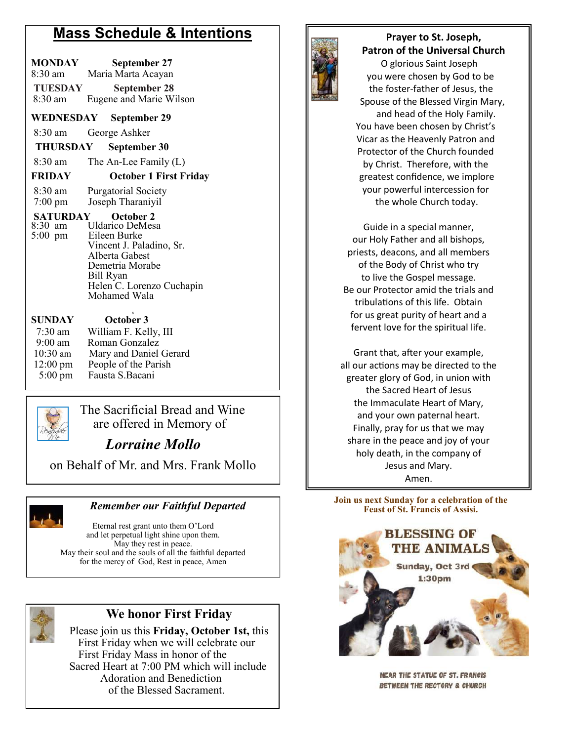## **Mass Schedule & Intentions**

| MONDAY<br>8:30 am<br>TUESDAY<br>8:30 am                | September 27<br>Maria Marta Acayan<br><b>September 28</b><br>Eugene and Marie Wilson                                                                       |
|--------------------------------------------------------|------------------------------------------------------------------------------------------------------------------------------------------------------------|
|                                                        | WEDNESDAY September 29                                                                                                                                     |
| 8:30 am                                                | George Ashker                                                                                                                                              |
|                                                        |                                                                                                                                                            |
| THURSDAY                                               | September 30                                                                                                                                               |
| $8:30 \text{ am}$                                      | The An-Lee Family (L)                                                                                                                                      |
| <b>FRIDAY</b>                                          | <b>October 1 First Friday</b>                                                                                                                              |
| 8:30 am<br>$7:00$ pm<br>SATURDAY                       | <b>Purgatorial Society</b><br>Joseph Tharaniyil<br>October 2                                                                                               |
| 8:30 am<br>$5:00 \text{ pm}$                           | Uldarico DeMesa<br>Eileen Burke<br>Vincent J. Paladino, Sr.<br>Alberta Gabest<br>Demetria Morabe<br>Bill Ryan<br>Helen C. Lorenzo Cuchapin<br>Mohamed Wala |
| <b>SUNDAY</b>                                          | October 3                                                                                                                                                  |
| 7:30 am<br>9:00 am<br>$10:30$ am<br>$12:00 \text{ pm}$ | William F. Kelly, III<br>Roman Gonzalez<br>Mary and Daniel Gerard<br>People of the Parish                                                                  |
| $5:00 \text{ pm}$                                      | Fausta S.Bacani                                                                                                                                            |



  $\Box$  The Sacrificial Bread and Wine are offered in Memory of

*Lorraine Mollo* 

on Behalf of Mr. and Mrs. Frank Mollo



#### *Remember our Faithful Departed*

Eternal rest grant unto them O'Lord and let perpetual light shine upon them. May they rest in peace. May their soul and the souls of all the faithful departed for the mercy of God, Rest in peace, Amen



# **We honor First Friday**

 Please join us this **Friday, October 1st,** this First Friday when we will celebrate our First Friday Mass in honor of the Sacred Heart at 7:00 PM which will include Adoration and Benediction of the Blessed Sacrament.



#### **Prayer to St. Joseph, Patron of the Universal Church**

 O glorious Saint Joseph you were chosen by God to be the foster-father of Jesus, the Spouse of the Blessed Virgin Mary, and head of the Holy Family. You have been chosen by Christ's Vicar as the Heavenly Patron and Protector of the Church founded by Christ. Therefore, with the greatest confidence, we implore your powerful intercession for the whole Church today.

Guide in a special manner, our Holy Father and all bishops, priests, deacons, and all members of the Body of Christ who try to live the Gospel message. Be our Protector amid the trials and tribulations of this life. Obtain for us great purity of heart and a fervent love for the spiritual life.

Grant that, after your example, all our actions may be directed to the greater glory of God, in union with the Sacred Heart of Jesus the Immaculate Heart of Mary, and your own paternal heart. Finally, pray for us that we may share in the peace and joy of your holy death, in the company of Jesus and Mary. Amen.

**Join us next Sunday for a celebration of the Feast of St. Francis of Assisi.**



**NEAR THE STATUE OF ST. FRANCIS** BETWEEN THE RECTORY & CHURCH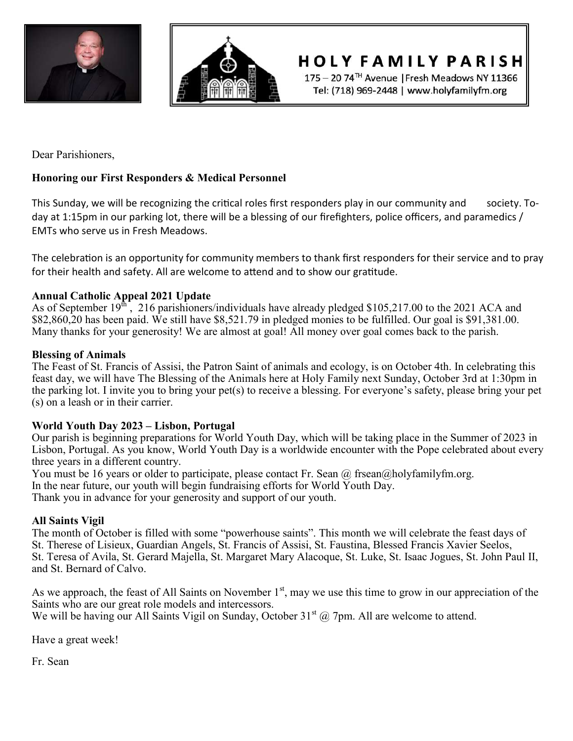



**HOLY FAMILY PARISH** 

175 - 20 74<sup>TH</sup> Avenue | Fresh Meadows NY 11366 Tel: (718) 969-2448 | www.holyfamilyfm.org

Dear Parishioners,

#### **Honoring our First Responders & Medical Personnel**

This Sunday, we will be recognizing the critical roles first responders play in our community and society. Today at 1:15pm in our parking lot, there will be a blessing of our firefighters, police officers, and paramedics / EMTs who serve us in Fresh Meadows.

The celebration is an opportunity for community members to thank first responders for their service and to pray for their health and safety. All are welcome to attend and to show our gratitude.

#### **Annual Catholic Appeal 2021 Update**

As of September  $19<sup>th</sup>$ , 216 parishioners/individuals have already pledged \$105,217.00 to the 2021 ACA and \$82,860,20 has been paid. We still have \$8,521.79 in pledged monies to be fulfilled. Our goal is \$91,381.00. Many thanks for your generosity! We are almost at goal! All money over goal comes back to the parish.

#### **Blessing of Animals**

The Feast of St. Francis of Assisi, the Patron Saint of animals and ecology, is on October 4th. In celebrating this feast day, we will have The Blessing of the Animals here at Holy Family next Sunday, October 3rd at 1:30pm in the parking lot. I invite you to bring your pet(s) to receive a blessing. For everyone's safety, please bring your pet (s) on a leash or in their carrier.

#### **World Youth Day 2023 – Lisbon, Portugal**

Our parish is beginning preparations for World Youth Day, which will be taking place in the Summer of 2023 in Lisbon, Portugal. As you know, World Youth Day is a worldwide encounter with the Pope celebrated about every three years in a different country.

You must be 16 years or older to participate, please contact Fr. Sean  $\omega$  frsean $\omega$ holyfamilyfm.org. In the near future, our youth will begin fundraising efforts for World Youth Day. Thank you in advance for your generosity and support of our youth.

#### **All Saints Vigil**

The month of October is filled with some "powerhouse saints". This month we will celebrate the feast days of St. Therese of Lisieux, Guardian Angels, St. Francis of Assisi, St. Faustina, Blessed Francis Xavier Seelos, St. Teresa of Avila, St. Gerard Majella, St. Margaret Mary Alacoque, St. Luke, St. Isaac Jogues, St. John Paul II, and St. Bernard of Calvo.

As we approach, the feast of All Saints on November  $1<sup>st</sup>$ , may we use this time to grow in our appreciation of the Saints who are our great role models and intercessors.

We will be having our All Saints Vigil on Sunday, October  $31<sup>st</sup>$  ( $@$  7pm. All are welcome to attend.

Have a great week!

Fr. Sean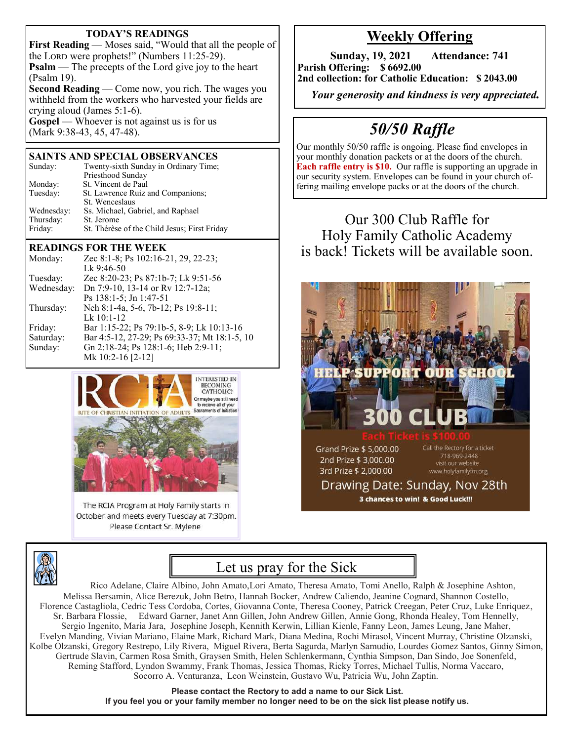#### **TODAY'S READINGS**

**First Reading** — Moses said, "Would that all the people of the Lord were prophets!" (Numbers 11:25-29). **Psalm** — The precepts of the Lord give joy to the heart (Psalm 19). **Second Reading** — Come now, you rich. The wages you withheld from the workers who harvested your fields are crying aloud (James 5:1-6). **Gospel** — Whoever is not against us is for us

(Mark 9:38-43, 45, 47-48).

#### **SAINTS AND SPECIAL OBSERVANCES**

| Sunday:               | Twenty-sixth Sunday in Ordinary Time;<br>Priesthood Sunday |  |
|-----------------------|------------------------------------------------------------|--|
| Monday:               | St. Vincent de Paul                                        |  |
| Tuesday:              | St. Lawrence Ruiz and Companions;                          |  |
|                       | St. Wenceslaus                                             |  |
| Wednesday:            | Ss. Michael, Gabriel, and Raphael                          |  |
| Thursday:             | St. Jerome                                                 |  |
| Friday:               | St. Thérèse of the Child Jesus; First Friday               |  |
| READINGS FOR THE WEEK |                                                            |  |

#### Monday: Zec 8:1-8; Ps 102:16-21, 29, 22-23; Lk 9:46-50 Tuesday: Zec 8:20-23; Ps 87:1b-7; Lk 9:51-56 Wednesday: Dn 7:9-10, 13-14 or Rv 12:7-12a; Ps 138:1-5; Jn 1:47-51 Thursday: Neh 8:1-4a, 5-6, 7b-12; Ps 19:8-11; Lk 10:1-12 Friday: Bar 1:15-22; Ps 79:1b-5, 8-9; Lk 10:13-16

Saturday: Bar 4:5-12, 27-29; Ps 69:33-37; Mt 18:1-5, 10 Sunday: Gn 2:18-24; Ps 128:1-6; Heb 2:9-11; Mk 10:2-16 [2-12]



The RCIA Program at Holy Family starts in October and meets every Tuesday at 7:30pm. Please Contact Sr. Mylene

## **Weekly Offering**

**Sunday, 19, 2021 Attendance: 741 Parish Offering: \$ 6692.00 2nd collection: for Catholic Education: \$ 2043.00**

 *Your generosity and kindness is very appreciated.* 

# *50/50 Raffle*

Our monthly 50/50 raffle is ongoing. Please find envelopes in your monthly donation packets or at the doors of the church. **Each raffle entry is \$10.** Our raffle is supporting an upgrade in our security system. Envelopes can be found in your church offering mailing envelope packs or at the doors of the church.

## Our 300 Club Raffle for Holy Family Catholic Academy is back! Tickets will be available soon.



3 chances to win! & Good Luck!!!



## Let us pray for the Sick

Rico Adelane, Claire Albino, John Amato,Lori Amato, Theresa Amato, Tomi Anello, Ralph & Josephine Ashton, Melissa Bersamin, Alice Berezuk, John Betro, Hannah Bocker, Andrew Caliendo, Jeanine Cognard, Shannon Costello, Florence Castagliola, Cedric Tess Cordoba, Cortes, Giovanna Conte, Theresa Cooney, Patrick Creegan, Peter Cruz, Luke Enriquez, Sr. Barbara Flossie, Edward Garner, Janet Ann Gillen, John Andrew Gillen, Annie Gong, Rhonda Healey, Tom Hennelly, Sergio Ingenito, Maria Jara, Josephine Joseph, Kennith Kerwin, Lillian Kienle, Fanny Leon, James Leung, Jane Maher, Evelyn Manding, Vivian Mariano, Elaine Mark, Richard Mark, Diana Medina, Rochi Mirasol, Vincent Murray, Christine Olzanski, Kolbe Olzanski, Gregory Restrepo, Lily Rivera, Miguel Rivera, Berta Sagurda, Marlyn Samudio, Lourdes Gomez Santos, Ginny Simon, Gertrude Slavin, Carmen Rosa Smith, Graysen Smith, Helen Schlenkermann, Cynthia Simpson, Dan Sindo, Joe Sonenfeld, Reming Stafford, Lyndon Swammy, Frank Thomas, Jessica Thomas, Ricky Torres, Michael Tullis, Norma Vaccaro, Socorro A. Venturanza, Leon Weinstein, Gustavo Wu, Patricia Wu, John Zaptin.

> **Please contact the Rectory to add a name to our Sick List. If you feel you or your family member no longer need to be on the sick list please notify us.**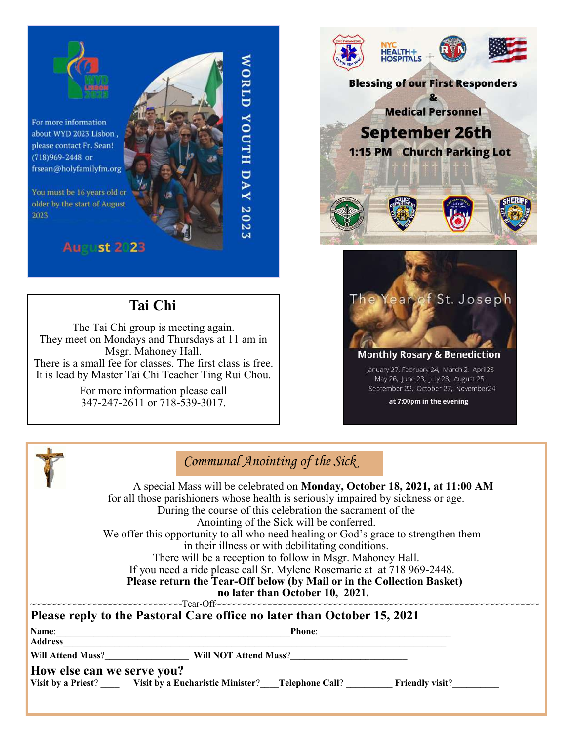

For more information about WYD 2023 Lisbon, please contact Fr. Sean! (718)969-2448 or frsean@holyfamilyfm.org

You must be 16 years old or older by the start of August 2023

## **August 2:23**

## **Tai Chi**

The Tai Chi group is meeting again. They meet on Mondays and Thursdays at 11 am in Msgr. Mahoney Hall. There is a small fee for classes. The first class is free. It is lead by Master Tai Chi Teacher Ting Rui Chou.

> For more information please call 347-247-2611 or 718-539-3017.





September 22, October 27, November 24

at 7:00pm in the evening



## *Communal Anointing of the Sick*

WORLD YOUTH DAY 2023

 A special Mass will be celebrated on **Monday, October 18, 2021, at 11:00 AM**  for all those parishioners whose health is seriously impaired by sickness or age. During the course of this celebration the sacrament of the Anointing of the Sick will be conferred. We offer this opportunity to all who need healing or God's grace to strengthen them in their illness or with debilitating conditions. There will be a reception to follow in Msgr. Mahoney Hall. If you need a ride please call Sr. Mylene Rosemarie at at 718 969-2448. **Please return the Tear-Off below (by Mail or in the Collection Basket) no later than October 10, 2021.**

| Name:<br><b>Address</b>    | <b>Phone:</b><br><u> 2002 - Jan James James James James James James James James James James James James James James James James J</u><br>the control of the control of the control of the control of the control of the control of |  |
|----------------------------|------------------------------------------------------------------------------------------------------------------------------------------------------------------------------------------------------------------------------------|--|
|                            | Will Attend Mass? Will NOT Attend Mass?                                                                                                                                                                                            |  |
| How else can we serve you? | Visit by a Priest? Visit by a Eucharistic Minister? Telephone Call? Friendly visit?                                                                                                                                                |  |